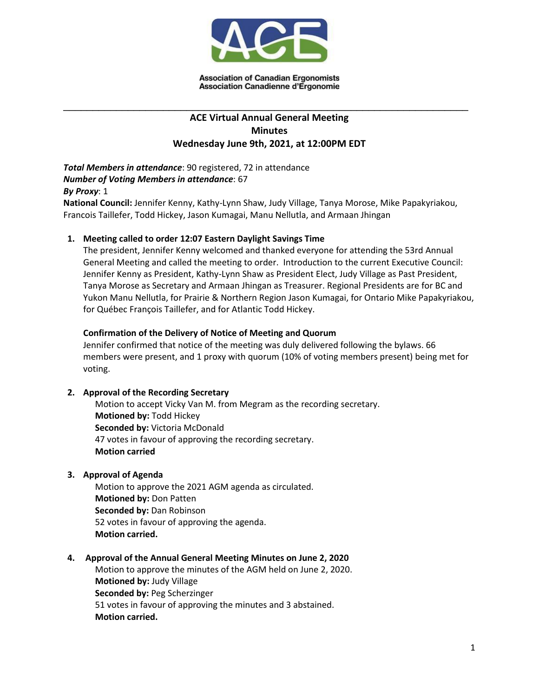

# **ACE Virtual Annual General Meeting Minutes Wednesday June 9th, 2021, at 12:00PM EDT**

\_\_\_\_\_\_\_\_\_\_\_\_\_\_\_\_\_\_\_\_\_\_\_\_\_\_\_\_\_\_\_\_\_\_\_\_\_\_\_\_\_\_\_\_\_\_\_\_\_\_\_\_\_\_\_\_\_\_\_\_\_\_\_\_\_\_\_\_\_

*Total Members in attendance*: 90 registered, 72 in attendance *Number of Voting Members in attendance*: 67 *By Proxy*: 1

**National Council:** Jennifer Kenny, Kathy-Lynn Shaw, Judy Village, Tanya Morose, Mike Papakyriakou, Francois Taillefer, Todd Hickey, Jason Kumagai, Manu Nellutla, and Armaan Jhingan

## **1. Meeting called to order 12:07 Eastern Daylight Savings Time**

The president, Jennifer Kenny welcomed and thanked everyone for attending the 53rd Annual General Meeting and called the meeting to order. Introduction to the current Executive Council: Jennifer Kenny as President, Kathy-Lynn Shaw as President Elect, Judy Village as Past President, Tanya Morose as Secretary and Armaan Jhingan as Treasurer. Regional Presidents are for BC and Yukon Manu Nellutla, for Prairie & Northern Region Jason Kumagai, for Ontario Mike Papakyriakou, for Québec François Taillefer, and for Atlantic Todd Hickey.

## **Confirmation of the Delivery of Notice of Meeting and Quorum**

Jennifer confirmed that notice of the meeting was duly delivered following the bylaws. 66 members were present, and 1 proxy with quorum (10% of voting members present) being met for voting.

## **2. Approval of the Recording Secretary**

Motion to accept Vicky Van M. from Megram as the recording secretary. **Motioned by:** Todd Hickey **Seconded by:** Victoria McDonald 47 votes in favour of approving the recording secretary. **Motion carried**

## **3. Approval of Agenda**

Motion to approve the 2021 AGM agenda as circulated. **Motioned by:** Don Patten **Seconded by:** Dan Robinson 52 votes in favour of approving the agenda. **Motion carried.**

## **4. Approval of the Annual General Meeting Minutes on June 2, 2020**

Motion to approve the minutes of the AGM held on June 2, 2020. **Motioned by:** Judy Village **Seconded by:** Peg Scherzinger 51 votes in favour of approving the minutes and 3 abstained. **Motion carried.**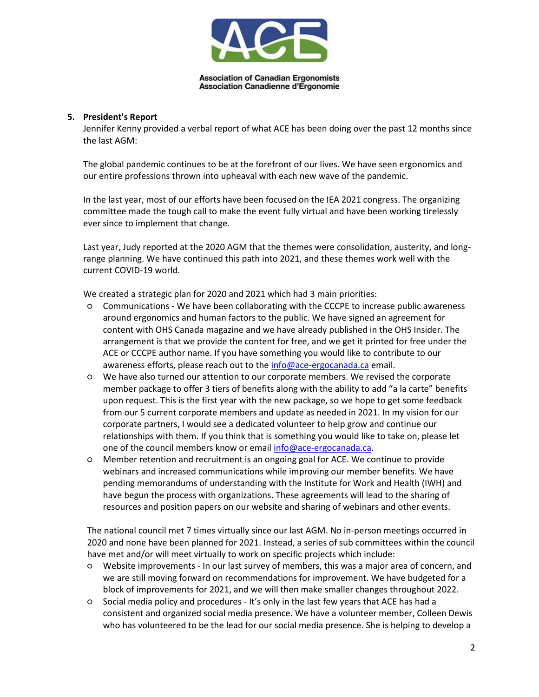

## **5. President's Report**

Jennifer Kenny provided a verbal report of what ACE has been doing over the past 12 months since the last AGM:

The global pandemic continues to be at the forefront of our lives. We have seen ergonomics and our entire professions thrown into upheaval with each new wave of the pandemic.

In the last year, most of our efforts have been focused on the IEA 2021 congress. The organizing committee made the tough call to make the event fully virtual and have been working tirelessly ever since to implement that change.

Last year, Judy reported at the 2020 AGM that the themes were consolidation, austerity, and longrange planning. We have continued this path into 2021, and these themes work well with the current COVID-19 world.

We created a strategic plan for 2020 and 2021 which had 3 main priorities:

- Communications We have been collaborating with the CCCPE to increase public awareness around ergonomics and human factors to the public. We have signed an agreement for content with OHS Canada magazine and we have already published in the OHS Insider. The arrangement is that we provide the content for free, and we get it printed for free under the ACE or CCCPE author name. If you have something you would like to contribute to our awareness efforts, please reach out to the [info@ace-ergocanada.ca](mailto:info@ace-ergocanada.ca) email.
- We have also turned our attention to our corporate members. We revised the corporate member package to offer 3 tiers of benefits along with the ability to add "a la carte" benefits upon request. This is the first year with the new package, so we hope to get some feedback from our 5 current corporate members and update as needed in 2021. In my vision for our corporate partners, I would see a dedicated volunteer to help grow and continue our relationships with them. If you think that is something you would like to take on, please let one of the council members know or email [info@ace-ergocanada.ca.](mailto:info@ace-ergocanada.ca)
- Member retention and recruitment is an ongoing goal for ACE. We continue to provide webinars and increased communications while improving our member benefits. We have pending memorandums of understanding with the Institute for Work and Health (IWH) and have begun the process with organizations. These agreements will lead to the sharing of resources and position papers on our website and sharing of webinars and other events.

The national council met 7 times virtually since our last AGM. No in-person meetings occurred in 2020 and none have been planned for 2021. Instead, a series of sub committees within the council have met and/or will meet virtually to work on specific projects which include:

- Website improvements In our last survey of members, this was a major area of concern, and we are still moving forward on recommendations for improvement. We have budgeted for a block of improvements for 2021, and we will then make smaller changes throughout 2022.
- Social media policy and procedures It's only in the last few years that ACE has had a consistent and organized social media presence. We have a volunteer member, Colleen Dewis who has volunteered to be the lead for our social media presence. She is helping to develop a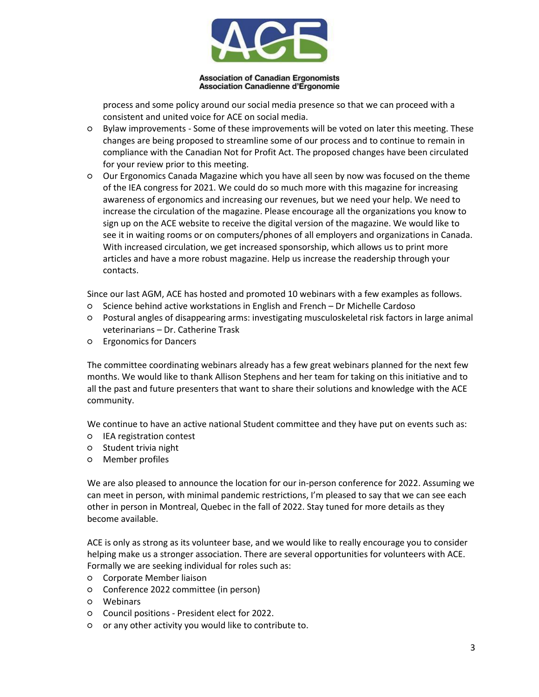

process and some policy around our social media presence so that we can proceed with a consistent and united voice for ACE on social media.

- Bylaw improvements Some of these improvements will be voted on later this meeting. These changes are being proposed to streamline some of our process and to continue to remain in compliance with the Canadian Not for Profit Act. The proposed changes have been circulated for your review prior to this meeting.
- Our Ergonomics Canada Magazine which you have all seen by now was focused on the theme of the IEA congress for 2021. We could do so much more with this magazine for increasing awareness of ergonomics and increasing our revenues, but we need your help. We need to increase the circulation of the magazine. Please encourage all the organizations you know to sign up on the ACE website to receive the digital version of the magazine. We would like to see it in waiting rooms or on computers/phones of all employers and organizations in Canada. With increased circulation, we get increased sponsorship, which allows us to print more articles and have a more robust magazine. Help us increase the readership through your contacts.

Since our last AGM, ACE has hosted and promoted 10 webinars with a few examples as follows.

- Science behind active workstations in English and French Dr Michelle Cardoso
- Postural angles of disappearing arms: investigating musculoskeletal risk factors in large animal veterinarians – Dr. Catherine Trask
- Ergonomics for Dancers

The committee coordinating webinars already has a few great webinars planned for the next few months. We would like to thank Allison Stephens and her team for taking on this initiative and to all the past and future presenters that want to share their solutions and knowledge with the ACE community.

We continue to have an active national Student committee and they have put on events such as:

- IEA registration contest
- Student trivia night
- Member profiles

We are also pleased to announce the location for our in-person conference for 2022. Assuming we can meet in person, with minimal pandemic restrictions, I'm pleased to say that we can see each other in person in Montreal, Quebec in the fall of 2022. Stay tuned for more details as they become available.

ACE is only as strong as its volunteer base, and we would like to really encourage you to consider helping make us a stronger association. There are several opportunities for volunteers with ACE. Formally we are seeking individual for roles such as:

- Corporate Member liaison
- Conference 2022 committee (in person)
- Webinars
- Council positions President elect for 2022.
- or any other activity you would like to contribute to.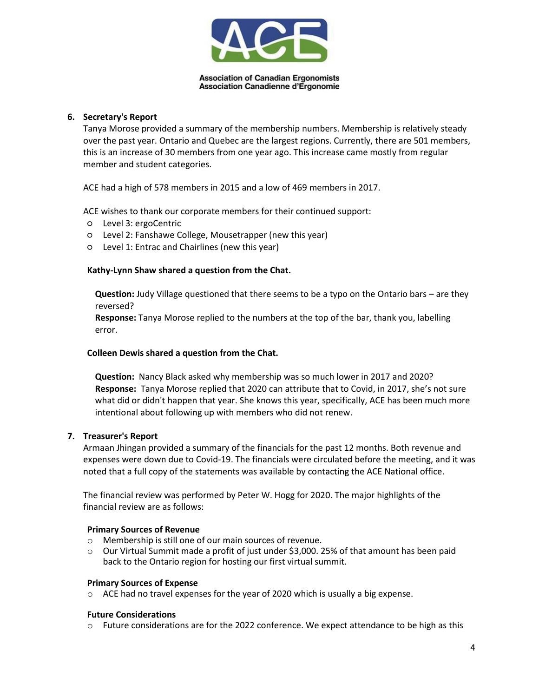

## **6. Secretary's Report**

Tanya Morose provided a summary of the membership numbers. Membership is relatively steady over the past year. Ontario and Quebec are the largest regions. Currently, there are 501 members, this is an increase of 30 members from one year ago. This increase came mostly from regular member and student categories.

ACE had a high of 578 members in 2015 and a low of 469 members in 2017.

ACE wishes to thank our corporate members for their continued support:

- Level 3: ergoCentric
- Level 2: Fanshawe College, Mousetrapper (new this year)
- Level 1: Entrac and Chairlines (new this year)

## **Kathy-Lynn Shaw shared a question from the Chat.**

**Question:** Judy Village questioned that there seems to be a typo on the Ontario bars – are they reversed?

**Response:** Tanya Morose replied to the numbers at the top of the bar, thank you, labelling error.

#### **Colleen Dewis shared a question from the Chat.**

**Question:** Nancy Black asked why membership was so much lower in 2017 and 2020? **Response:** Tanya Morose replied that 2020 can attribute that to Covid, in 2017, she's not sure what did or didn't happen that year. She knows this year, specifically, ACE has been much more intentional about following up with members who did not renew.

## **7. Treasurer's Report**

Armaan Jhingan provided a summary of the financials for the past 12 months. Both revenue and expenses were down due to Covid-19. The financials were circulated before the meeting, and it was noted that a full copy of the statements was available by contacting the ACE National office.

The financial review was performed by Peter W. Hogg for 2020. The major highlights of the financial review are as follows:

#### **Primary Sources of Revenue**

- o Membership is still one of our main sources of revenue.
- o Our Virtual Summit made a profit of just under \$3,000. 25% of that amount has been paid back to the Ontario region for hosting our first virtual summit.

#### **Primary Sources of Expense**

o ACE had no travel expenses for the year of 2020 which is usually a big expense.

#### **Future Considerations**

 $\circ$  Future considerations are for the 2022 conference. We expect attendance to be high as this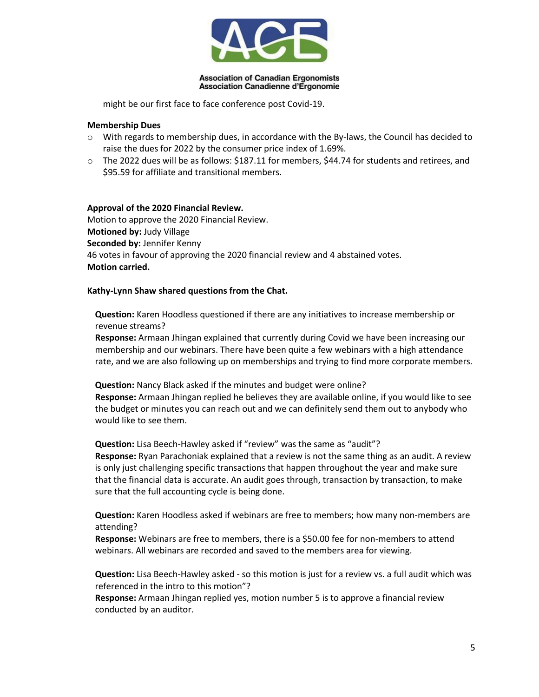

might be our first face to face conference post Covid-19.

## **Membership Dues**

- $\circ$  With regards to membership dues, in accordance with the By-laws, the Council has decided to raise the dues for 2022 by the consumer price index of 1.69%.
- $\circ$  The 2022 dues will be as follows: \$187.11 for members, \$44.74 for students and retirees, and \$95.59 for affiliate and transitional members.

## **Approval of the 2020 Financial Review.**

Motion to approve the 2020 Financial Review. **Motioned by:** Judy Village **Seconded by:** Jennifer Kenny 46 votes in favour of approving the 2020 financial review and 4 abstained votes. **Motion carried.**

## **Kathy-Lynn Shaw shared questions from the Chat.**

**Question:** Karen Hoodless questioned if there are any initiatives to increase membership or revenue streams?

**Response:** Armaan Jhingan explained that currently during Covid we have been increasing our membership and our webinars. There have been quite a few webinars with a high attendance rate, and we are also following up on memberships and trying to find more corporate members.

**Question:** Nancy Black asked if the minutes and budget were online? **Response:** Armaan Jhingan replied he believes they are available online, if you would like to see the budget or minutes you can reach out and we can definitely send them out to anybody who would like to see them.

#### **Question:** Lisa Beech-Hawley asked if "review" was the same as "audit"?

**Response:** Ryan Parachoniak explained that a review is not the same thing as an audit. A review is only just challenging specific transactions that happen throughout the year and make sure that the financial data is accurate. An audit goes through, transaction by transaction, to make sure that the full accounting cycle is being done.

**Question:** Karen Hoodless asked if webinars are free to members; how many non-members are attending?

**Response:** Webinars are free to members, there is a \$50.00 fee for non-members to attend webinars. All webinars are recorded and saved to the members area for viewing.

**Question:** Lisa Beech-Hawley asked - so this motion is just for a review vs. a full audit which was referenced in the intro to this motion"?

**Response:** Armaan Jhingan replied yes, motion number 5 is to approve a financial review conducted by an auditor.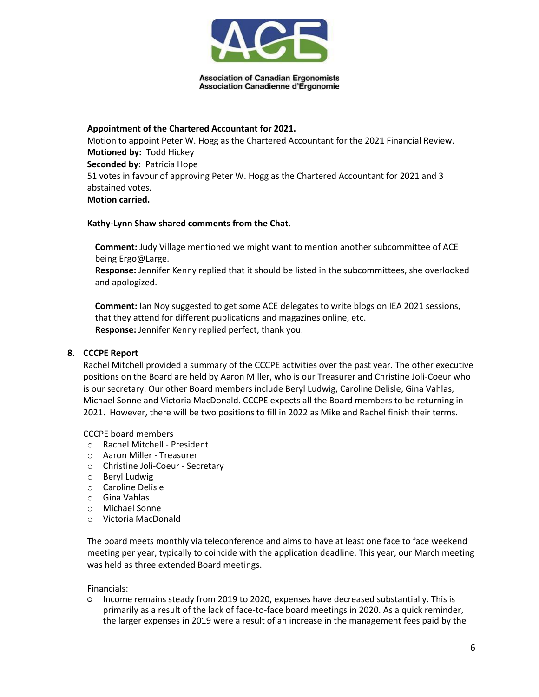

**Appointment of the Chartered Accountant for 2021.** Motion to appoint Peter W. Hogg as the Chartered Accountant for the 2021 Financial Review. **Motioned by:** Todd Hickey **Seconded by:** Patricia Hope 51 votes in favour of approving Peter W. Hogg as the Chartered Accountant for 2021 and 3 abstained votes. **Motion carried.**

## **Kathy-Lynn Shaw shared comments from the Chat.**

**Comment:** Judy Village mentioned we might want to mention another subcommittee of ACE being Ergo@Large.

**Response:** Jennifer Kenny replied that it should be listed in the subcommittees, she overlooked and apologized.

**Comment:** Ian Noy suggested to get some ACE delegates to write blogs on IEA 2021 sessions, that they attend for different publications and magazines online, etc. **Response:** Jennifer Kenny replied perfect, thank you.

## **8. CCCPE Report**

Rachel Mitchell provided a summary of the CCCPE activities over the past year. The other executive positions on the Board are held by Aaron Miller, who is our Treasurer and Christine Joli-Coeur who is our secretary. Our other Board members include Beryl Ludwig, Caroline Delisle, Gina Vahlas, Michael Sonne and Victoria MacDonald. CCCPE expects all the Board members to be returning in 2021. However, there will be two positions to fill in 2022 as Mike and Rachel finish their terms.

CCCPE board members

- o Rachel Mitchell President
- o Aaron Miller Treasurer
- o Christine Joli-Coeur Secretary
- o Beryl Ludwig
- o Caroline Delisle
- o Gina Vahlas
- o Michael Sonne
- o Victoria MacDonald

The board meets monthly via teleconference and aims to have at least one face to face weekend meeting per year, typically to coincide with the application deadline. This year, our March meeting was held as three extended Board meetings.

Financials:

○ Income remains steady from 2019 to 2020, expenses have decreased substantially. This is primarily as a result of the lack of face-to-face board meetings in 2020. As a quick reminder, the larger expenses in 2019 were a result of an increase in the management fees paid by the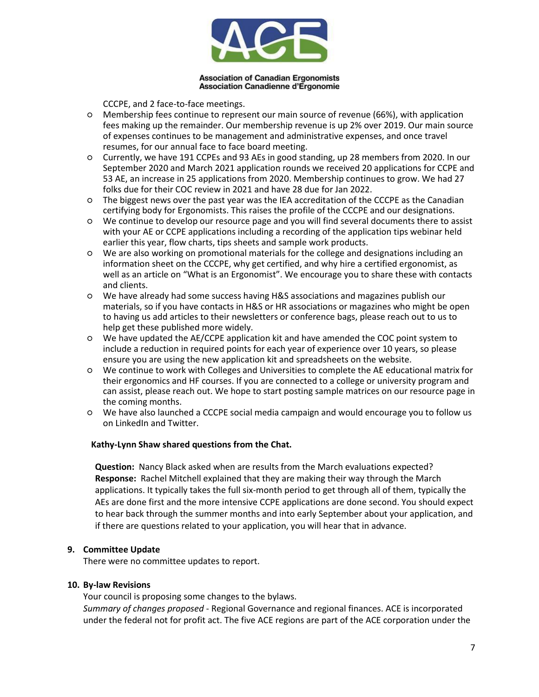

CCCPE, and 2 face-to-face meetings.

- Membership fees continue to represent our main source of revenue (66%), with application fees making up the remainder. Our membership revenue is up 2% over 2019. Our main source of expenses continues to be management and administrative expenses, and once travel resumes, for our annual face to face board meeting.
- Currently, we have 191 CCPEs and 93 AEs in good standing, up 28 members from 2020. In our September 2020 and March 2021 application rounds we received 20 applications for CCPE and 53 AE, an increase in 25 applications from 2020. Membership continues to grow. We had 27 folks due for their COC review in 2021 and have 28 due for Jan 2022.
- The biggest news over the past year was the IEA accreditation of the CCCPE as the Canadian certifying body for Ergonomists. This raises the profile of the CCCPE and our designations.
- We continue to develop our resource page and you will find several documents there to assist with your AE or CCPE applications including a recording of the application tips webinar held earlier this year, flow charts, tips sheets and sample work products.
- We are also working on promotional materials for the college and designations including an information sheet on the CCCPE, why get certified, and why hire a certified ergonomist, as well as an article on "What is an Ergonomist". We encourage you to share these with contacts and clients.
- We have already had some success having H&S associations and magazines publish our materials, so if you have contacts in H&S or HR associations or magazines who might be open to having us add articles to their newsletters or conference bags, please reach out to us to help get these published more widely.
- We have updated the AE/CCPE application kit and have amended the COC point system to include a reduction in required points for each year of experience over 10 years, so please ensure you are using the new application kit and spreadsheets on the website.
- We continue to work with Colleges and Universities to complete the AE educational matrix for their ergonomics and HF courses. If you are connected to a college or university program and can assist, please reach out. We hope to start posting sample matrices on our resource page in the coming months.
- We have also launched a CCCPE social media campaign and would encourage you to follow us on LinkedIn and Twitter.

## **Kathy-Lynn Shaw shared questions from the Chat.**

**Question:** Nancy Black asked when are results from the March evaluations expected? **Response:** Rachel Mitchell explained that they are making their way through the March applications. It typically takes the full six-month period to get through all of them, typically the AEs are done first and the more intensive CCPE applications are done second. You should expect to hear back through the summer months and into early September about your application, and if there are questions related to your application, you will hear that in advance.

## **9. Committee Update**

There were no committee updates to report.

#### **10. By-law Revisions**

Your council is proposing some changes to the bylaws.

*Summary of changes proposed* - Regional Governance and regional finances. ACE is incorporated under the federal not for profit act. The five ACE regions are part of the ACE corporation under the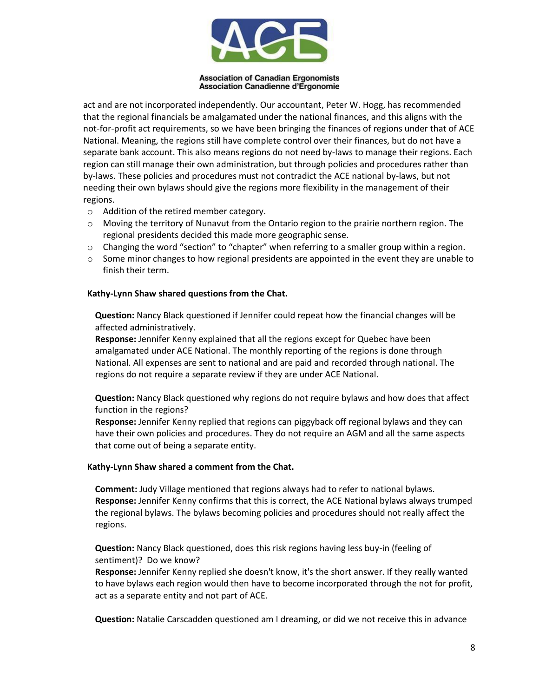

act and are not incorporated independently. Our accountant, Peter W. Hogg, has recommended that the regional financials be amalgamated under the national finances, and this aligns with the not-for-profit act requirements, so we have been bringing the finances of regions under that of ACE National. Meaning, the regions still have complete control over their finances, but do not have a separate bank account. This also means regions do not need by-laws to manage their regions. Each region can still manage their own administration, but through policies and procedures rather than by-laws. These policies and procedures must not contradict the ACE national by-laws, but not needing their own bylaws should give the regions more flexibility in the management of their regions.

- o Addition of the retired member category.
- o Moving the territory of Nunavut from the Ontario region to the prairie northern region. The regional presidents decided this made more geographic sense.
- o Changing the word "section" to "chapter" when referring to a smaller group within a region.
- $\circ$  Some minor changes to how regional presidents are appointed in the event they are unable to finish their term.

## **Kathy-Lynn Shaw shared questions from the Chat.**

**Question:** Nancy Black questioned if Jennifer could repeat how the financial changes will be affected administratively.

**Response:** Jennifer Kenny explained that all the regions except for Quebec have been amalgamated under ACE National. The monthly reporting of the regions is done through National. All expenses are sent to national and are paid and recorded through national. The regions do not require a separate review if they are under ACE National.

**Question:** Nancy Black questioned why regions do not require bylaws and how does that affect function in the regions?

**Response:** Jennifer Kenny replied that regions can piggyback off regional bylaws and they can have their own policies and procedures. They do not require an AGM and all the same aspects that come out of being a separate entity.

#### **Kathy-Lynn Shaw shared a comment from the Chat.**

**Comment:** Judy Village mentioned that regions always had to refer to national bylaws. **Response:** Jennifer Kenny confirms that this is correct, the ACE National bylaws always trumped the regional bylaws. The bylaws becoming policies and procedures should not really affect the regions.

**Question:** Nancy Black questioned, does this risk regions having less buy-in (feeling of sentiment)? Do we know?

**Response:** Jennifer Kenny replied she doesn't know, it's the short answer. If they really wanted to have bylaws each region would then have to become incorporated through the not for profit, act as a separate entity and not part of ACE.

**Question:** Natalie Carscadden questioned am I dreaming, or did we not receive this in advance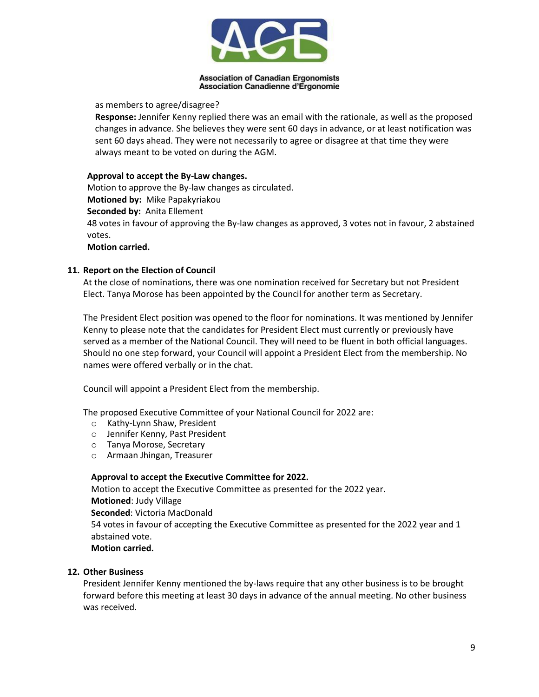

## as members to agree/disagree?

**Response:** Jennifer Kenny replied there was an email with the rationale, as well as the proposed changes in advance. She believes they were sent 60 days in advance, or at least notification was sent 60 days ahead. They were not necessarily to agree or disagree at that time they were always meant to be voted on during the AGM.

## **Approval to accept the By-Law changes.**

Motion to approve the By-law changes as circulated. **Motioned by:** Mike Papakyriakou **Seconded by:** Anita Ellement 48 votes in favour of approving the By-law changes as approved, 3 votes not in favour, 2 abstained votes.

**Motion carried.**

## **11. Report on the Election of Council**

At the close of nominations, there was one nomination received for Secretary but not President Elect. Tanya Morose has been appointed by the Council for another term as Secretary.

The President Elect position was opened to the floor for nominations. It was mentioned by Jennifer Kenny to please note that the candidates for President Elect must currently or previously have served as a member of the National Council. They will need to be fluent in both official languages. Should no one step forward, your Council will appoint a President Elect from the membership. No names were offered verbally or in the chat.

Council will appoint a President Elect from the membership.

The proposed Executive Committee of your National Council for 2022 are:

- o Kathy-Lynn Shaw, President
- o Jennifer Kenny, Past President
- o Tanya Morose, Secretary
- o Armaan Jhingan, Treasurer

## **Approval to accept the Executive Committee for 2022.**

Motion to accept the Executive Committee as presented for the 2022 year. **Motioned**: Judy Village **Seconded**: Victoria MacDonald 54 votes in favour of accepting the Executive Committee as presented for the 2022 year and 1 abstained vote. **Motion carried.**

## **12. Other Business**

President Jennifer Kenny mentioned the by-laws require that any other business is to be brought forward before this meeting at least 30 days in advance of the annual meeting. No other business was received.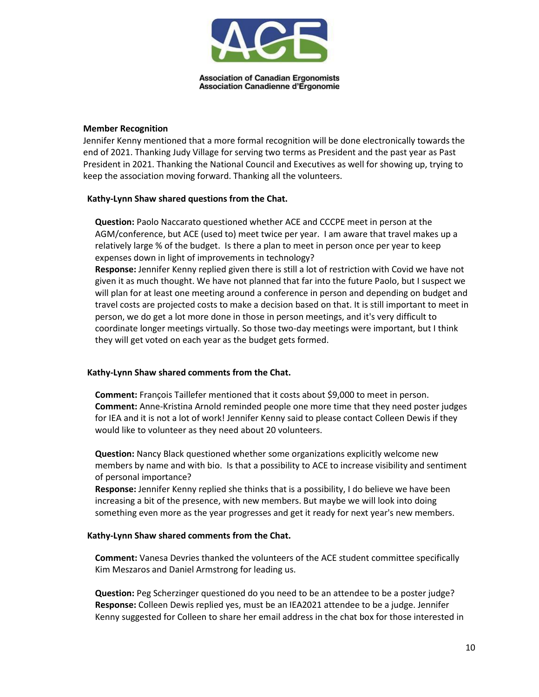

#### **Member Recognition**

Jennifer Kenny mentioned that a more formal recognition will be done electronically towards the end of 2021. Thanking Judy Village for serving two terms as President and the past year as Past President in 2021. Thanking the National Council and Executives as well for showing up, trying to keep the association moving forward. Thanking all the volunteers.

## **Kathy-Lynn Shaw shared questions from the Chat.**

**Question:** Paolo Naccarato questioned whether ACE and CCCPE meet in person at the AGM/conference, but ACE (used to) meet twice per year. I am aware that travel makes up a relatively large % of the budget. Is there a plan to meet in person once per year to keep expenses down in light of improvements in technology?

**Response:** Jennifer Kenny replied given there is still a lot of restriction with Covid we have not given it as much thought. We have not planned that far into the future Paolo, but I suspect we will plan for at least one meeting around a conference in person and depending on budget and travel costs are projected costs to make a decision based on that. It is still important to meet in person, we do get a lot more done in those in person meetings, and it's very difficult to coordinate longer meetings virtually. So those two-day meetings were important, but I think they will get voted on each year as the budget gets formed.

## **Kathy-Lynn Shaw shared comments from the Chat.**

**Comment:** François Taillefer mentioned that it costs about \$9,000 to meet in person. **Comment:** Anne-Kristina Arnold reminded people one more time that they need poster judges for IEA and it is not a lot of work! Jennifer Kenny said to please contact Colleen Dewis if they would like to volunteer as they need about 20 volunteers.

**Question:** Nancy Black questioned whether some organizations explicitly welcome new members by name and with bio. Is that a possibility to ACE to increase visibility and sentiment of personal importance?

**Response:** Jennifer Kenny replied she thinks that is a possibility, I do believe we have been increasing a bit of the presence, with new members. But maybe we will look into doing something even more as the year progresses and get it ready for next year's new members.

#### **Kathy-Lynn Shaw shared comments from the Chat.**

**Comment:** Vanesa Devries thanked the volunteers of the ACE student committee specifically Kim Meszaros and Daniel Armstrong for leading us.

**Question:** Peg Scherzinger questioned do you need to be an attendee to be a poster judge? **Response:** Colleen Dewis replied yes, must be an IEA2021 attendee to be a judge. Jennifer Kenny suggested for Colleen to share her email address in the chat box for those interested in